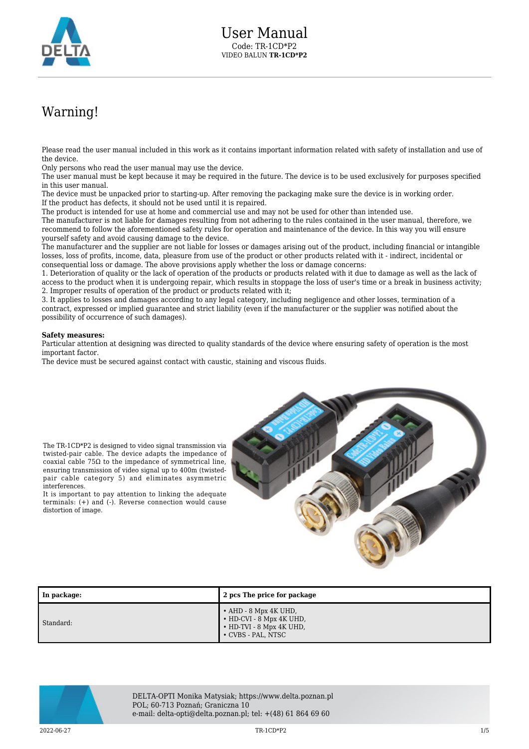

## Warning!

Please read the user manual included in this work as it contains important information related with safety of installation and use of the device.

Only persons who read the user manual may use the device.

The user manual must be kept because it may be required in the future. The device is to be used exclusively for purposes specified in this user manual.

The device must be unpacked prior to starting-up. After removing the packaging make sure the device is in working order. If the product has defects, it should not be used until it is repaired.

The product is intended for use at home and commercial use and may not be used for other than intended use.

The manufacturer is not liable for damages resulting from not adhering to the rules contained in the user manual, therefore, we recommend to follow the aforementioned safety rules for operation and maintenance of the device. In this way you will ensure yourself safety and avoid causing damage to the device.

The manufacturer and the supplier are not liable for losses or damages arising out of the product, including financial or intangible losses, loss of profits, income, data, pleasure from use of the product or other products related with it - indirect, incidental or consequential loss or damage. The above provisions apply whether the loss or damage concerns:

1. Deterioration of quality or the lack of operation of the products or products related with it due to damage as well as the lack of access to the product when it is undergoing repair, which results in stoppage the loss of user's time or a break in business activity; 2. Improper results of operation of the product or products related with it;

3. It applies to losses and damages according to any legal category, including negligence and other losses, termination of a contract, expressed or implied guarantee and strict liability (even if the manufacturer or the supplier was notified about the possibility of occurrence of such damages).

## **Safety measures:**

Particular attention at designing was directed to quality standards of the device where ensuring safety of operation is the most important factor.

The device must be secured against contact with caustic, staining and viscous fluids.



The TR-1CD\*P2 is designed to video signal transmission via twisted-pair cable. The device adapts the impedance of coaxial cable 75Ω to the impedance of symmetrical line, ensuring transmission of video signal up to 400m (twistedpair cable category 5) and eliminates asymmetric interferences.

It is important to pay attention to linking the adequate terminals: (+) and (-). Reverse connection would cause distortion of image.

| In package: | 2 pcs The price for package                                                                                           |
|-------------|-----------------------------------------------------------------------------------------------------------------------|
| Standard:   | $\cdot$ AHD - 8 Mpx 4K UHD.<br>$\cdot$ HD-CVI - 8 Mpx 4K UHD.<br>$\cdot$ HD-TVI - 8 Mpx 4K UHD,<br>• CVBS - PAL, NTSC |



DELTA-OPTI Monika Matysiak; https://www.delta.poznan.pl POL; 60-713 Poznań; Graniczna 10 e-mail: delta-opti@delta.poznan.pl; tel: +(48) 61 864 69 60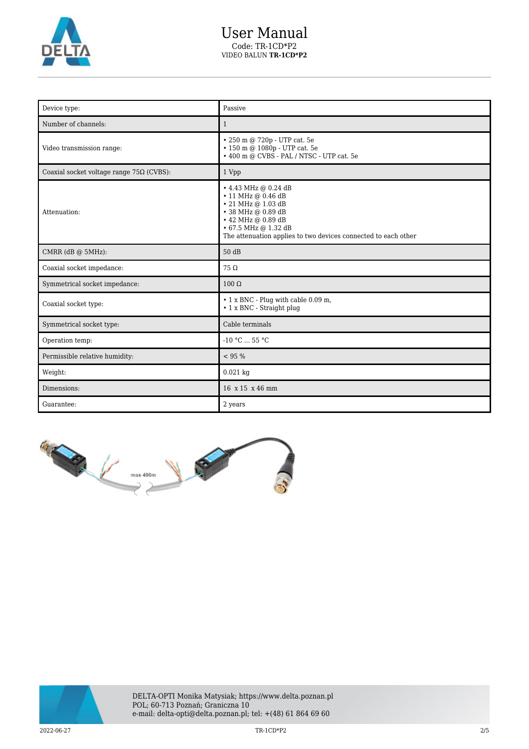

| Device type:                                    | Passive                                                                                                                                                                                                            |
|-------------------------------------------------|--------------------------------------------------------------------------------------------------------------------------------------------------------------------------------------------------------------------|
| Number of channels:                             | $\mathbf{1}$                                                                                                                                                                                                       |
| Video transmission range:                       | • 250 m @ 720p - UTP cat. 5e<br>• 150 m @ 1080p - UTP cat. 5e<br>• 400 m @ CVBS - PAL / NTSC - UTP cat. 5e                                                                                                         |
| Coaxial socket voltage range $75\Omega$ (CVBS): | 1 Vpp                                                                                                                                                                                                              |
| Attenuation:                                    | • 4.43 MHz @ 0.24 dB<br>$\cdot$ 11 MHz @ 0.46 dB<br>$\cdot$ 21 MHz @ 1.03 dB<br>• 38 MHz @ 0.89 dB<br>• 42 MHz @ 0.89 dB<br>• 67.5 MHz @ 1.32 dB<br>The attenuation applies to two devices connected to each other |
| CMRR (dB @ 5MHz):                               | 50 dB                                                                                                                                                                                                              |
| Coaxial socket impedance:                       | $75\Omega$                                                                                                                                                                                                         |
| Symmetrical socket impedance:                   | $100 \Omega$                                                                                                                                                                                                       |
| Coaxial socket type:                            | • 1 x BNC - Plug with cable 0.09 m,<br>$\cdot$ 1 x BNC - Straight plug                                                                                                                                             |
| Symmetrical socket type:                        | Cable terminals                                                                                                                                                                                                    |
| Operation temp:                                 | $-10 °C$ 55 °C                                                                                                                                                                                                     |
| Permissible relative humidity:                  | < 95 %                                                                                                                                                                                                             |
| Weight:                                         | $0.021$ kg                                                                                                                                                                                                         |
| Dimensions:                                     | 16 x 15 x 46 mm                                                                                                                                                                                                    |
| Guarantee:                                      | 2 years                                                                                                                                                                                                            |



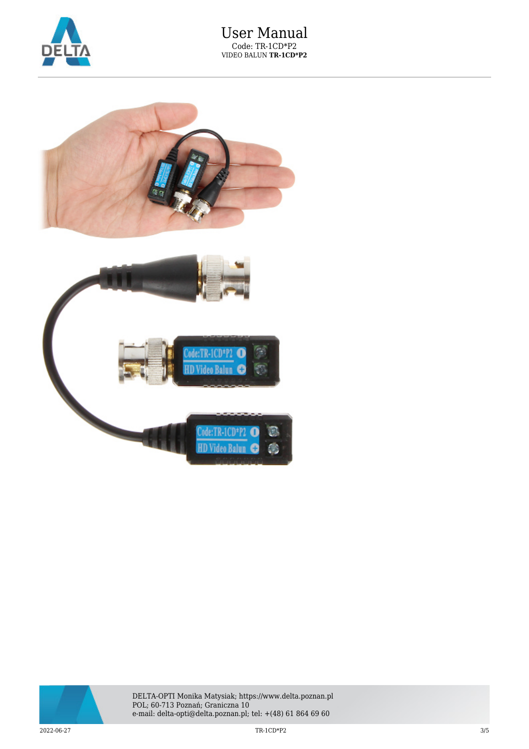





 $2022$ -06-27  $3/5$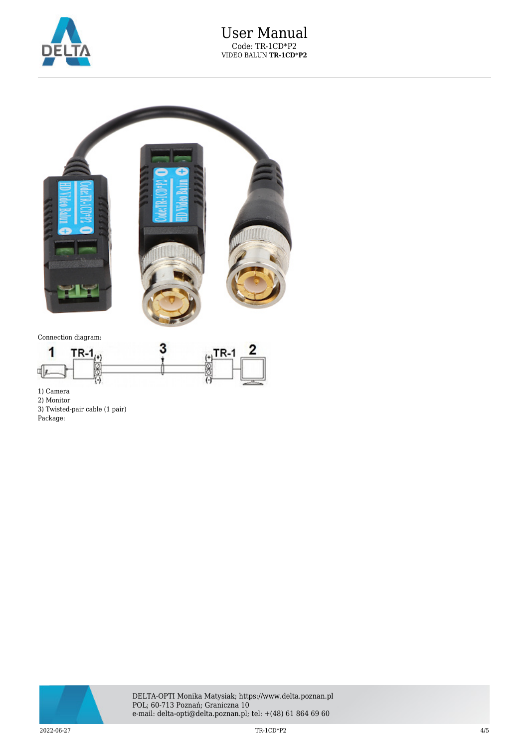



Connection diagram:



1) Camera

- 2) Monitor
- 3) Twisted-pair cable (1 pair)

Package: